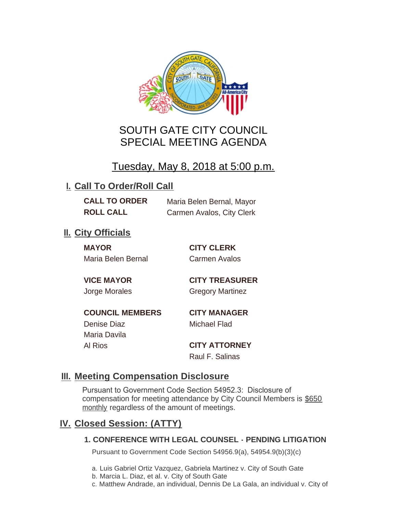

# SOUTH GATE CITY COUNCIL SPECIAL MEETING AGENDA

# Tuesday, May 8, 2018 at 5:00 p.m.

## **I. Call To Order/Roll Call**

**CALL TO ORDER** Maria Belen Bernal, Mayor **ROLL CALL** Carmen Avalos, City Clerk

## **II.** City Officials

**MAYOR CITY CLERK** Maria Belen Bernal Carmen Avalos

**VICE MAYOR CITY TREASURER** Jorge Morales Gregory Martinez

**COUNCIL MEMBERS CITY MANAGER** Denise Diaz Michael Flad

Maria Davila

Al Rios **CITY ATTORNEY** Raul F. Salinas

### **Meeting Compensation Disclosure III.**

Pursuant to Government Code Section 54952.3: Disclosure of compensation for meeting attendance by City Council Members is \$650 monthly regardless of the amount of meetings.

## **Closed Session: (ATTY) IV.**

#### **1. CONFERENCE WITH LEGAL COUNSEL - PENDING LITIGATION**

Pursuant to Government Code Section 54956.9(a), 54954.9(b)(3)(c)

a. Luis Gabriel Ortiz Vazquez, Gabriela Martinez v. City of South Gate

- b. Marcia L. Diaz, et al. v. City of South Gate
- c. Matthew Andrade, an individual, Dennis De La Gala, an individual v. City of